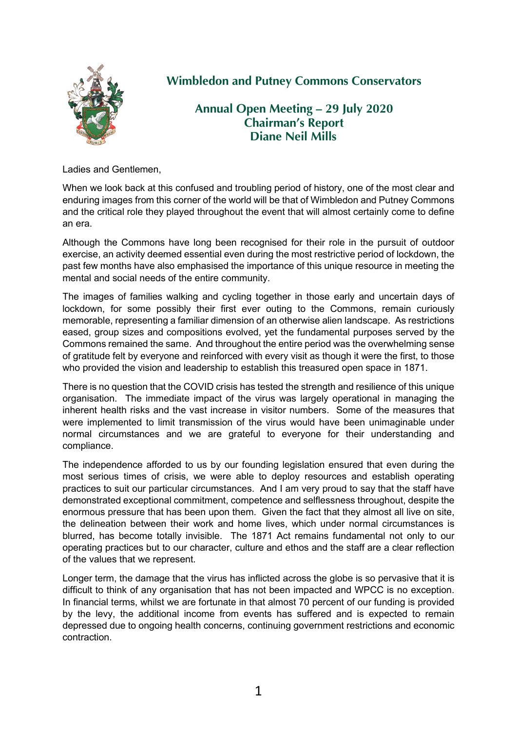

## **Wimbledon and Putney Commons Conservators**

**Annual Open Meeting – 29 July 2020 Chairman's Report Diane Neil Mills**

Ladies and Gentlemen,

When we look back at this confused and troubling period of history, one of the most clear and enduring images from this corner of the world will be that of Wimbledon and Putney Commons and the critical role they played throughout the event that will almost certainly come to define an era.

Although the Commons have long been recognised for their role in the pursuit of outdoor exercise, an activity deemed essential even during the most restrictive period of lockdown, the past few months have also emphasised the importance of this unique resource in meeting the mental and social needs of the entire community.

The images of families walking and cycling together in those early and uncertain days of lockdown, for some possibly their first ever outing to the Commons, remain curiously memorable, representing a familiar dimension of an otherwise alien landscape. As restrictions eased, group sizes and compositions evolved, yet the fundamental purposes served by the Commons remained the same. And throughout the entire period was the overwhelming sense of gratitude felt by everyone and reinforced with every visit as though it were the first, to those who provided the vision and leadership to establish this treasured open space in 1871.

There is no question that the COVID crisis has tested the strength and resilience of this unique organisation. The immediate impact of the virus was largely operational in managing the inherent health risks and the vast increase in visitor numbers. Some of the measures that were implemented to limit transmission of the virus would have been unimaginable under normal circumstances and we are grateful to everyone for their understanding and compliance.

The independence afforded to us by our founding legislation ensured that even during the most serious times of crisis, we were able to deploy resources and establish operating practices to suit our particular circumstances. And I am very proud to say that the staff have demonstrated exceptional commitment, competence and selflessness throughout, despite the enormous pressure that has been upon them. Given the fact that they almost all live on site, the delineation between their work and home lives, which under normal circumstances is blurred, has become totally invisible. The 1871 Act remains fundamental not only to our operating practices but to our character, culture and ethos and the staff are a clear reflection of the values that we represent.

Longer term, the damage that the virus has inflicted across the globe is so pervasive that it is difficult to think of any organisation that has not been impacted and WPCC is no exception. In financial terms, whilst we are fortunate in that almost 70 percent of our funding is provided by the levy, the additional income from events has suffered and is expected to remain depressed due to ongoing health concerns, continuing government restrictions and economic contraction.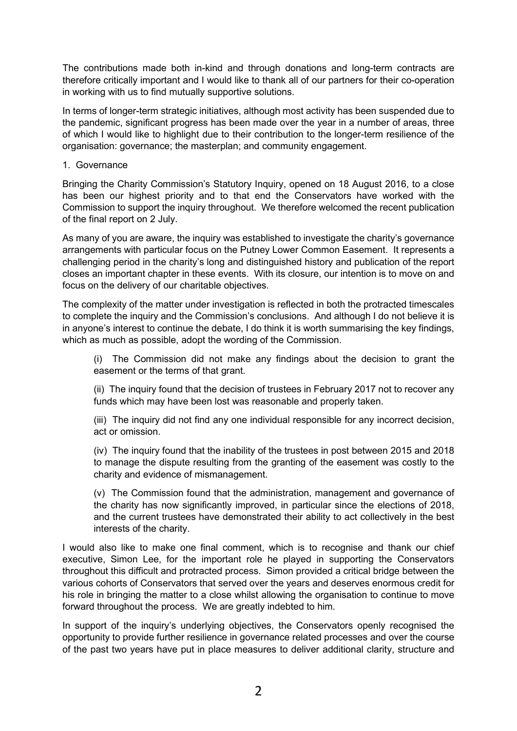The contributions made both in-kind and through donations and long-term contracts are therefore critically important and I would like to thank all of our partners for their co-operation in working with us to find mutually supportive solutions.

In terms of longer-term strategic initiatives, although most activity has been suspended due to the pandemic, significant progress has been made over the year in a number of areas, three of which I would like to highlight due to their contribution to the longer-term resilience of the organisation: governance; the masterplan; and community engagement.

## 1. Governance

Bringing the Charity Commission's Statutory Inquiry, opened on 18 August 2016, to a close has been our highest priority and to that end the Conservators have worked with the Commission to support the inquiry throughout. We therefore welcomed the recent publication of the final report on 2 July.

As many of you are aware, the inquiry was established to investigate the charity's governance arrangements with particular focus on the Putney Lower Common Easement. It represents a challenging period in the charity's long and distinguished history and publication of the report closes an important chapter in these events. With its closure, our intention is to move on and focus on the delivery of our charitable objectives.

The complexity of the matter under investigation is reflected in both the protracted timescales to complete the inquiry and the Commission's conclusions. And although I do not believe it is in anyone's interest to continue the debate, I do think it is worth summarising the key findings, which as much as possible, adopt the wording of the Commission.

(i) The Commission did not make any findings about the decision to grant the easement or the terms of that grant.

(ii) The inquiry found that the decision of trustees in February 2017 not to recover any funds which may have been lost was reasonable and properly taken.

(iii) The inquiry did not find any one individual responsible for any incorrect decision, act or omission.

(iv) The inquiry found that the inability of the trustees in post between 2015 and 2018 to manage the dispute resulting from the granting of the easement was costly to the charity and evidence of mismanagement.

(v) The Commission found that the administration, management and governance of the charity has now significantly improved, in particular since the elections of 2018, and the current trustees have demonstrated their ability to act collectively in the best interests of the charity.

I would also like to make one final comment, which is to recognise and thank our chief executive, Simon Lee, for the important role he played in supporting the Conservators throughout this difficult and protracted process. Simon provided a critical bridge between the various cohorts of Conservators that served over the years and deserves enormous credit for his role in bringing the matter to a close whilst allowing the organisation to continue to move forward throughout the process. We are greatly indebted to him.

In support of the inquiry's underlying objectives, the Conservators openly recognised the opportunity to provide further resilience in governance related processes and over the course of the past two years have put in place measures to deliver additional clarity, structure and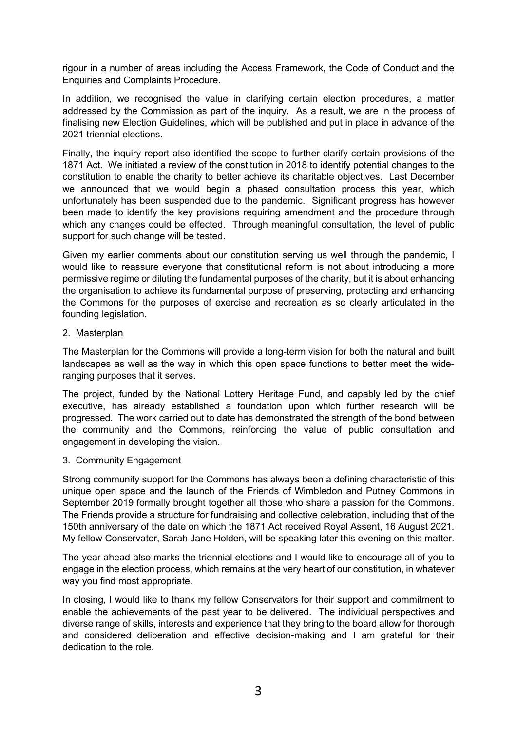rigour in a number of areas including the Access Framework, the Code of Conduct and the Enquiries and Complaints Procedure.

In addition, we recognised the value in clarifying certain election procedures, a matter addressed by the Commission as part of the inquiry. As a result, we are in the process of finalising new Election Guidelines, which will be published and put in place in advance of the 2021 triennial elections.

Finally, the inquiry report also identified the scope to further clarify certain provisions of the 1871 Act. We initiated a review of the constitution in 2018 to identify potential changes to the constitution to enable the charity to better achieve its charitable objectives. Last December we announced that we would begin a phased consultation process this year, which unfortunately has been suspended due to the pandemic. Significant progress has however been made to identify the key provisions requiring amendment and the procedure through which any changes could be effected. Through meaningful consultation, the level of public support for such change will be tested.

Given my earlier comments about our constitution serving us well through the pandemic, I would like to reassure everyone that constitutional reform is not about introducing a more permissive regime or diluting the fundamental purposes of the charity, but it is about enhancing the organisation to achieve its fundamental purpose of preserving, protecting and enhancing the Commons for the purposes of exercise and recreation as so clearly articulated in the founding legislation.

## 2. Masterplan

The Masterplan for the Commons will provide a long-term vision for both the natural and built landscapes as well as the way in which this open space functions to better meet the wideranging purposes that it serves.

The project, funded by the National Lottery Heritage Fund, and capably led by the chief executive, has already established a foundation upon which further research will be progressed. The work carried out to date has demonstrated the strength of the bond between the community and the Commons, reinforcing the value of public consultation and engagement in developing the vision.

## 3. Community Engagement

Strong community support for the Commons has always been a defining characteristic of this unique open space and the launch of the Friends of Wimbledon and Putney Commons in September 2019 formally brought together all those who share a passion for the Commons. The Friends provide a structure for fundraising and collective celebration, including that of the 150th anniversary of the date on which the 1871 Act received Royal Assent, 16 August 2021. My fellow Conservator, Sarah Jane Holden, will be speaking later this evening on this matter.

The year ahead also marks the triennial elections and I would like to encourage all of you to engage in the election process, which remains at the very heart of our constitution, in whatever way you find most appropriate.

In closing, I would like to thank my fellow Conservators for their support and commitment to enable the achievements of the past year to be delivered. The individual perspectives and diverse range of skills, interests and experience that they bring to the board allow for thorough and considered deliberation and effective decision-making and I am grateful for their dedication to the role.